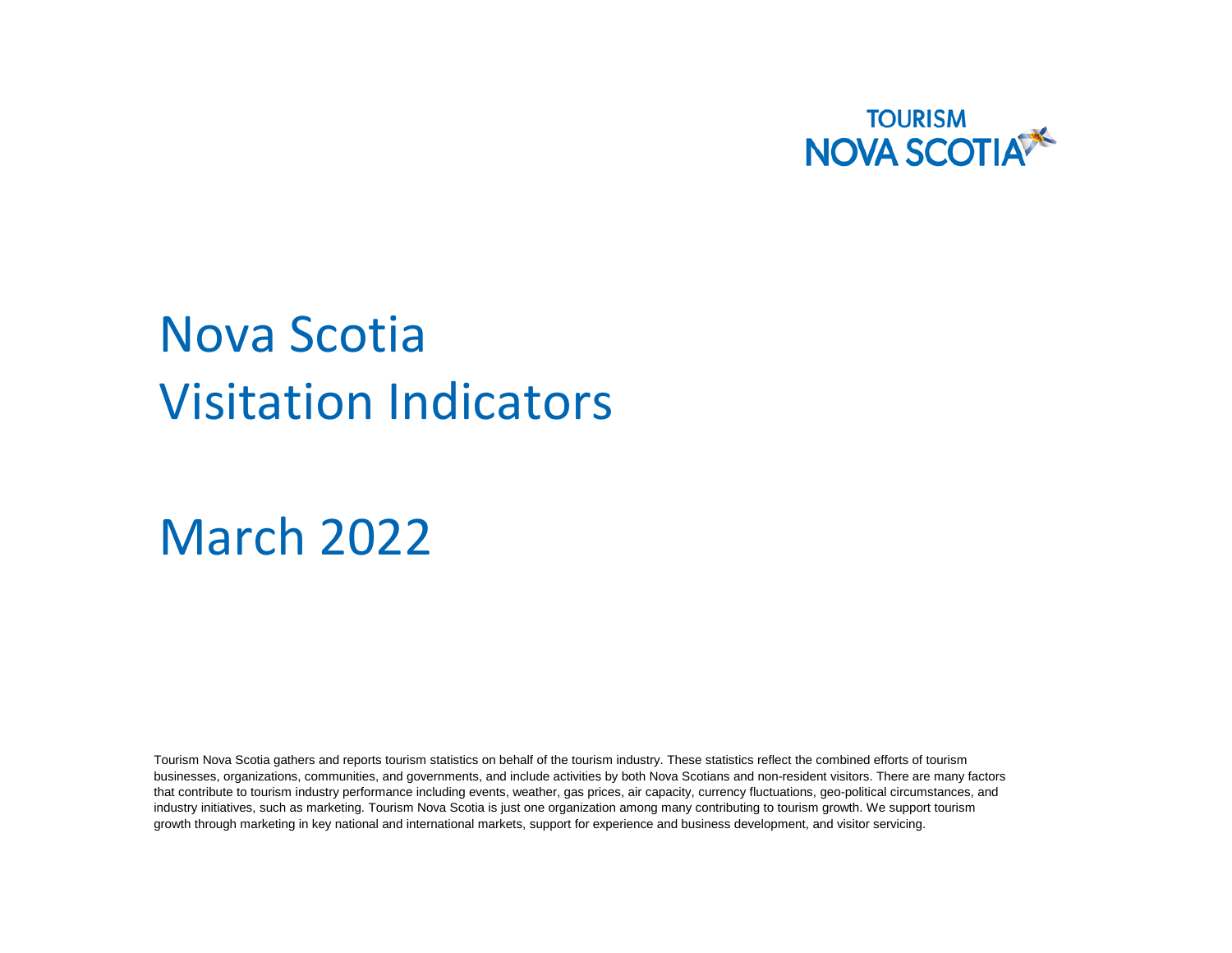

# Nova Scotia Visitation Indicators

March 2022

Tourism Nova Scotia gathers and reports tourism statistics on behalf of the tourism industry. These statistics reflect the combined efforts of tourism businesses, organizations, communities, and governments, and include activities by both Nova Scotians and non-resident visitors. There are many factors that contribute to tourism industry performance including events, weather, gas prices, air capacity, currency fluctuations, geo-political circumstances, and industry initiatives, such as marketing. Tourism Nova Scotia is just one organization among many contributing to tourism growth. We support tourism growth through marketing in key national and international markets, support for experience and business development, and visitor servicing.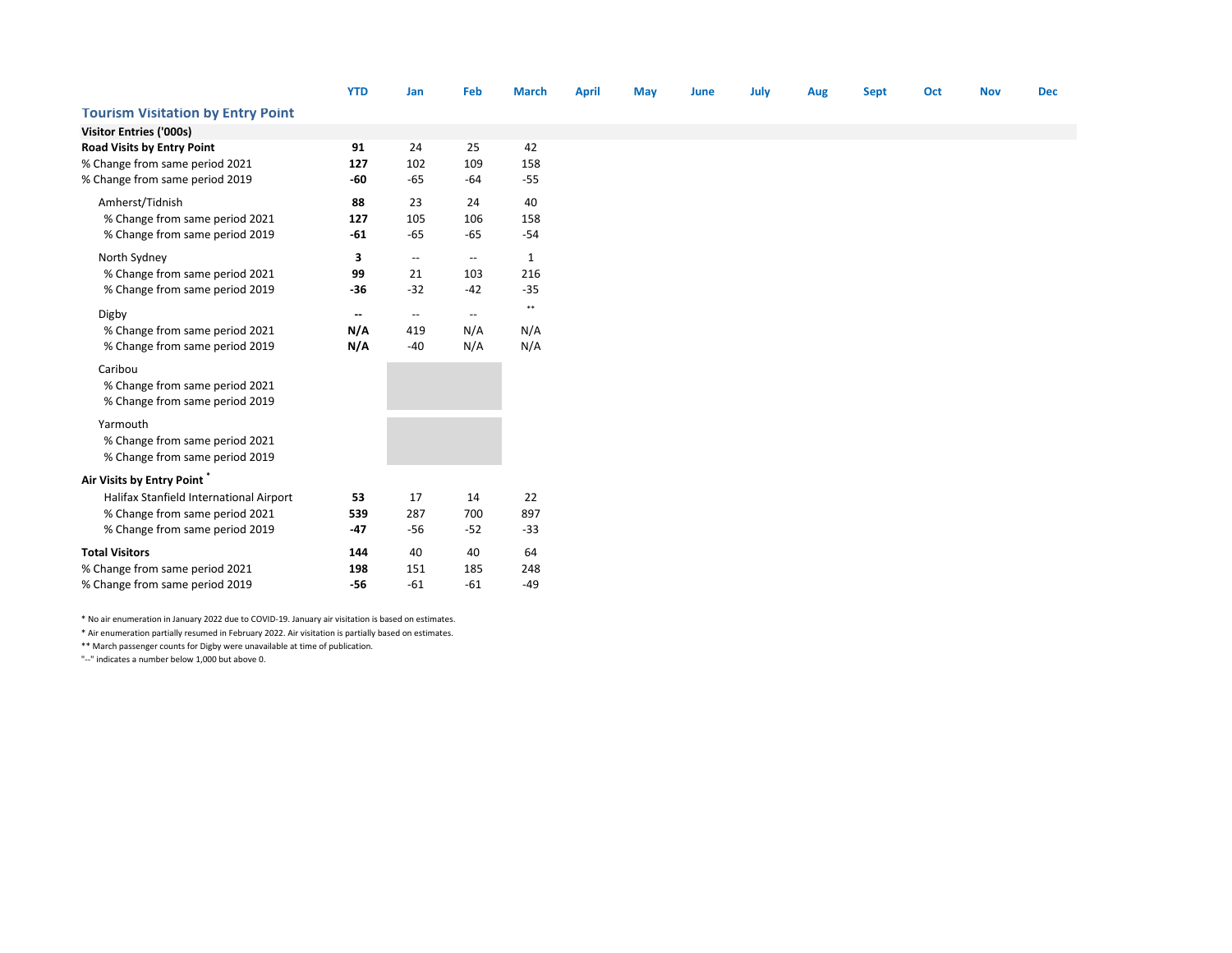|                                          | <b>YTD</b>               | Jan                                                 | Feb                                                 | <b>March</b> | <b>April</b> | May | June | July | Aug | <b>Sept</b> | Oct | <b>Nov</b> | <b>Dec</b> |
|------------------------------------------|--------------------------|-----------------------------------------------------|-----------------------------------------------------|--------------|--------------|-----|------|------|-----|-------------|-----|------------|------------|
| <b>Tourism Visitation by Entry Point</b> |                          |                                                     |                                                     |              |              |     |      |      |     |             |     |            |            |
| <b>Visitor Entries ('000s)</b>           |                          |                                                     |                                                     |              |              |     |      |      |     |             |     |            |            |
| <b>Road Visits by Entry Point</b>        | 91                       | 24                                                  | 25                                                  | 42           |              |     |      |      |     |             |     |            |            |
| % Change from same period 2021           | 127                      | 102                                                 | 109                                                 | 158          |              |     |      |      |     |             |     |            |            |
| % Change from same period 2019           | -60                      | $-65$                                               | $-64$                                               | $-55$        |              |     |      |      |     |             |     |            |            |
| Amherst/Tidnish                          | 88                       | 23                                                  | 24                                                  | 40           |              |     |      |      |     |             |     |            |            |
| % Change from same period 2021           | 127                      | 105                                                 | 106                                                 | 158          |              |     |      |      |     |             |     |            |            |
| % Change from same period 2019           | $-61$                    | $-65$                                               | $-65$                                               | $-54$        |              |     |      |      |     |             |     |            |            |
| North Sydney                             | 3                        | $\hspace{0.05cm} -\hspace{0.05cm} -\hspace{0.05cm}$ | $\overline{\phantom{a}}$                            | 1            |              |     |      |      |     |             |     |            |            |
| % Change from same period 2021           | 99                       | 21                                                  | 103                                                 | 216          |              |     |      |      |     |             |     |            |            |
| % Change from same period 2019           | $-36$                    | $-32$                                               | $-42$                                               | $-35$        |              |     |      |      |     |             |     |            |            |
| Digby                                    | $\overline{\phantom{a}}$ | $\overline{\phantom{a}}$                            | $\hspace{0.05cm} -\hspace{0.05cm} -\hspace{0.05cm}$ | $\ast\ast$   |              |     |      |      |     |             |     |            |            |
| % Change from same period 2021           | N/A                      | 419                                                 | N/A                                                 | N/A          |              |     |      |      |     |             |     |            |            |
| % Change from same period 2019           | N/A                      | $-40$                                               | N/A                                                 | N/A          |              |     |      |      |     |             |     |            |            |
|                                          |                          |                                                     |                                                     |              |              |     |      |      |     |             |     |            |            |
| Caribou                                  |                          |                                                     |                                                     |              |              |     |      |      |     |             |     |            |            |
| % Change from same period 2021           |                          |                                                     |                                                     |              |              |     |      |      |     |             |     |            |            |
| % Change from same period 2019           |                          |                                                     |                                                     |              |              |     |      |      |     |             |     |            |            |
| Yarmouth                                 |                          |                                                     |                                                     |              |              |     |      |      |     |             |     |            |            |
| % Change from same period 2021           |                          |                                                     |                                                     |              |              |     |      |      |     |             |     |            |            |
| % Change from same period 2019           |                          |                                                     |                                                     |              |              |     |      |      |     |             |     |            |            |
| Air Visits by Entry Point                |                          |                                                     |                                                     |              |              |     |      |      |     |             |     |            |            |
| Halifax Stanfield International Airport  | 53                       | 17                                                  | 14                                                  | 22           |              |     |      |      |     |             |     |            |            |
| % Change from same period 2021           | 539                      | 287                                                 | 700                                                 | 897          |              |     |      |      |     |             |     |            |            |
| % Change from same period 2019           | $-47$                    | $-56$                                               | $-52$                                               | $-33$        |              |     |      |      |     |             |     |            |            |
| <b>Total Visitors</b>                    | 144                      | 40                                                  | 40                                                  | 64           |              |     |      |      |     |             |     |            |            |
| % Change from same period 2021           | 198                      | 151                                                 | 185                                                 | 248          |              |     |      |      |     |             |     |            |            |
| % Change from same period 2019           | $-56$                    | $-61$                                               | $-61$                                               | $-49$        |              |     |      |      |     |             |     |            |            |

\* No air enumeration in January 2022 due to COVID-19. January air visitation is based on estimates.

\* Air enumeration partially resumed in February 2022. Air visitation is partially based on estimates.

\*\* March passenger counts for Digby were unavailable at time of publication.

"--" indicates a number below 1,000 but above 0.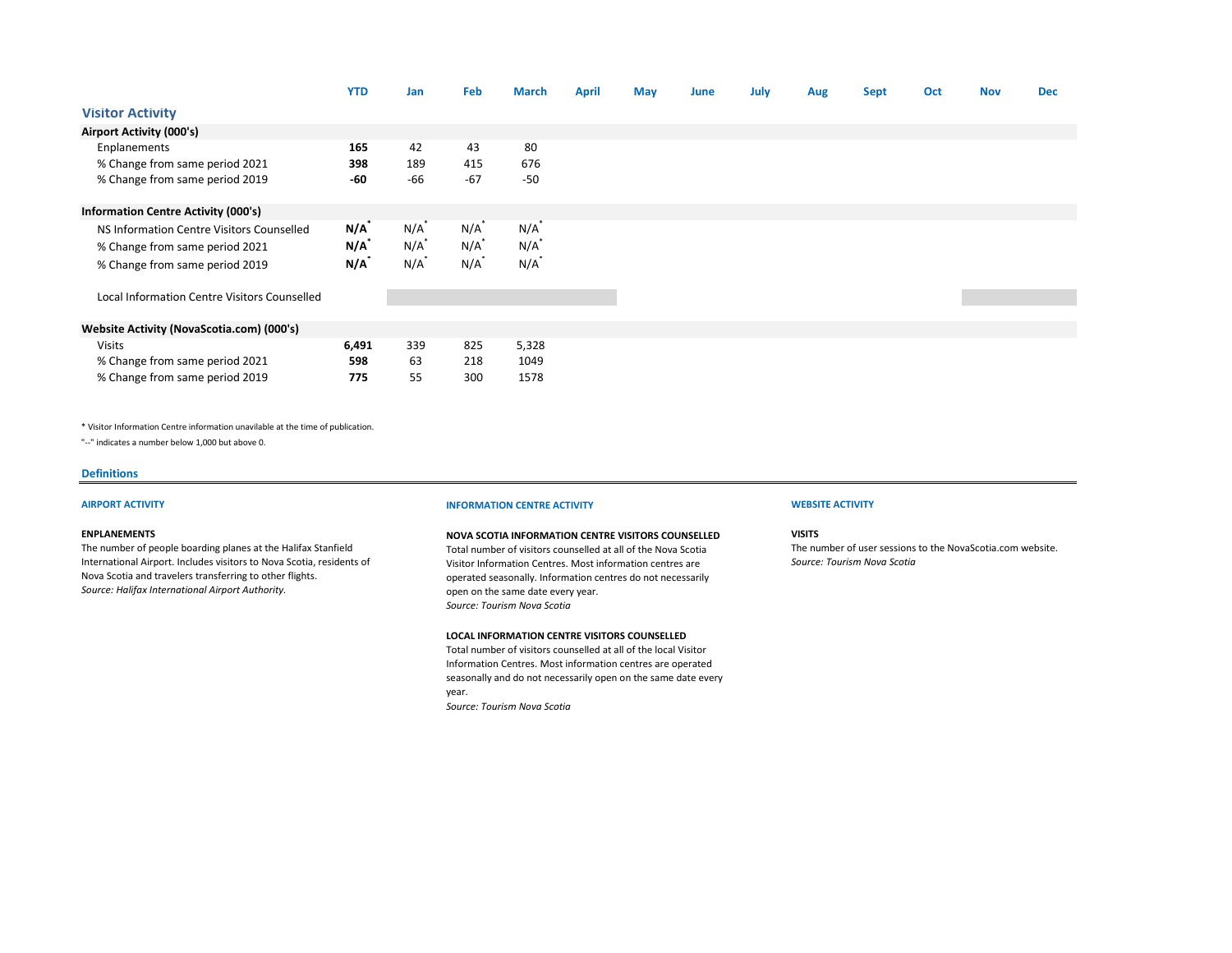|                                              | <b>YTD</b> | Jan     | Feb     | <b>March</b> | <b>April</b> | May | June | July | Aug | <b>Sept</b> | Oct | <b>Nov</b> | <b>Dec</b> |
|----------------------------------------------|------------|---------|---------|--------------|--------------|-----|------|------|-----|-------------|-----|------------|------------|
| <b>Visitor Activity</b>                      |            |         |         |              |              |     |      |      |     |             |     |            |            |
| Airport Activity (000's)                     |            |         |         |              |              |     |      |      |     |             |     |            |            |
| Enplanements                                 | 165        | 42      | 43      | 80           |              |     |      |      |     |             |     |            |            |
| % Change from same period 2021               | 398        | 189     | 415     | 676          |              |     |      |      |     |             |     |            |            |
| % Change from same period 2019               | -60        | -66     | $-67$   | $-50$        |              |     |      |      |     |             |     |            |            |
| <b>Information Centre Activity (000's)</b>   |            |         |         |              |              |     |      |      |     |             |     |            |            |
| NS Information Centre Visitors Counselled    | $N/A^*$    | $N/A^*$ | N/A     | N/A          |              |     |      |      |     |             |     |            |            |
| % Change from same period 2021               | $N/A^*$    | $N/A^*$ | $N/A^*$ | $N/A^*$      |              |     |      |      |     |             |     |            |            |
| % Change from same period 2019               | $N/A^*$    | N/A     | N/A     | $N/A^*$      |              |     |      |      |     |             |     |            |            |
| Local Information Centre Visitors Counselled |            |         |         |              |              |     |      |      |     |             |     |            |            |
|                                              |            |         |         |              |              |     |      |      |     |             |     |            |            |
| Website Activity (NovaScotia.com) (000's)    |            |         |         |              |              |     |      |      |     |             |     |            |            |
| <b>Visits</b>                                | 6,491      | 339     | 825     | 5,328        |              |     |      |      |     |             |     |            |            |
| % Change from same period 2021               | 598        | 63      | 218     | 1049         |              |     |      |      |     |             |     |            |            |
| % Change from same period 2019               | 775        | 55      | 300     | 1578         |              |     |      |      |     |             |     |            |            |

\* Visitor Information Centre information unavilable at the time of publication.

"--" indicates a number below 1,000 but above 0.

#### **Definitions**

### **ENPLANEMENTS**

The number of people boarding planes at the Halifax Stanfield International Airport. Includes visitors to Nova Scotia, residents of Nova Scotia and travelers transferring to other flights. *Source: Halifax International Airport Authority.*

#### **AIRPORT ACTIVITY INFORMATION CENTRE ACTIVITY WEBSITE ACTIVITY**

## **NOVA SCOTIA INFORMATION CENTRE VISITORS COUNSELLED**

Total number of visitors counselled at all of the Nova Scotia Visitor Information Centres. Most information centres are operated seasonally. Information centres do not necessarily open on the same date every year. *Source: Tourism Nova Scotia* 

#### **LOCAL INFORMATION CENTRE VISITORS COUNSELLED**

Total number of visitors counselled at all of the local Visitor Information Centres. Most information centres are operated seasonally and do not necessarily open on the same date every year. *Source: Tourism Nova Scotia*

**VISITS**

The number of user sessions to the NovaScotia.com website. *Source: Tourism Nova Scotia*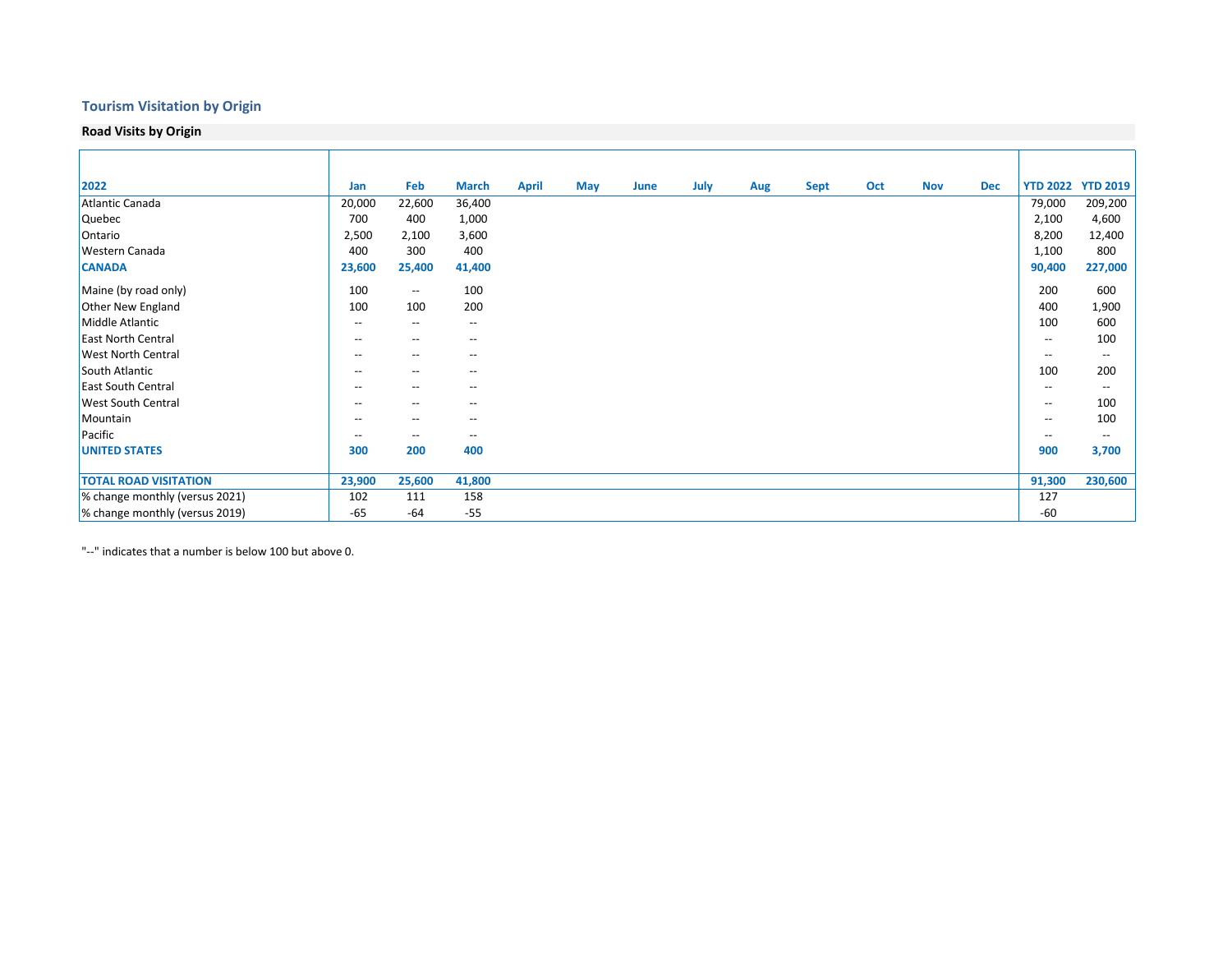# **Tourism Visitation by Origin**

**Road Visits by Origin**

| 2022                           | Jan                                   | Feb                                   | <b>March</b>                          | <b>April</b> | May | June | July | Aug | <b>Sept</b> | Oct | <b>Nov</b> | <b>Dec</b> |                                       | <b>YTD 2022 YTD 2019</b> |
|--------------------------------|---------------------------------------|---------------------------------------|---------------------------------------|--------------|-----|------|------|-----|-------------|-----|------------|------------|---------------------------------------|--------------------------|
| Atlantic Canada                | 20,000                                | 22,600                                | 36,400                                |              |     |      |      |     |             |     |            |            | 79,000                                | 209,200                  |
| Quebec                         | 700                                   | 400                                   | 1,000                                 |              |     |      |      |     |             |     |            |            | 2,100                                 | 4,600                    |
| Ontario                        | 2,500                                 | 2,100                                 | 3,600                                 |              |     |      |      |     |             |     |            |            | 8,200                                 | 12,400                   |
| <b>Western Canada</b>          | 400                                   | 300                                   | 400                                   |              |     |      |      |     |             |     |            |            | 1,100                                 | 800                      |
| <b>CANADA</b>                  | 23,600                                | 25,400                                | 41,400                                |              |     |      |      |     |             |     |            |            | 90,400                                | 227,000                  |
| Maine (by road only)           | 100                                   | $\hspace{0.05cm}$ – $\hspace{0.05cm}$ | 100                                   |              |     |      |      |     |             |     |            |            | 200                                   | 600                      |
| <b>Other New England</b>       | 100                                   | 100                                   | 200                                   |              |     |      |      |     |             |     |            |            | 400                                   | 1,900                    |
| Middle Atlantic                | $\overline{\phantom{a}}$              | $\hspace{0.05cm} \ldots$              | $\hspace{0.05cm} \ldots$              |              |     |      |      |     |             |     |            |            | 100                                   | 600                      |
| <b>East North Central</b>      | $- -$                                 | $\hspace{0.05cm} \ldots$              | $\hspace{0.05cm} \ldots$              |              |     |      |      |     |             |     |            |            | $\overline{\phantom{a}}$              | 100                      |
| <b>West North Central</b>      | $\hspace{0.05cm} \ldots$              | $\hspace{0.05cm} \ldots$              | $\hspace{0.05cm} \ldots$              |              |     |      |      |     |             |     |            |            | $\overline{\phantom{a}}$              | $\hspace{0.05cm} \ldots$ |
| South Atlantic                 | $\hspace{0.05cm}$ – $\hspace{0.05cm}$ | $\hspace{0.05cm} \ldots$              | --                                    |              |     |      |      |     |             |     |            |            | 100                                   | 200                      |
| <b>East South Central</b>      | $-$                                   | $\hspace{0.05cm}$ – $\hspace{0.05cm}$ | --                                    |              |     |      |      |     |             |     |            |            | $- -$                                 | $\overline{\phantom{a}}$ |
| <b>West South Central</b>      | $\hspace{0.05cm}$ – $\hspace{0.05cm}$ | $\hspace{0.05cm}$ – $\hspace{0.05cm}$ | $\hspace{0.05cm}$ – $\hspace{0.05cm}$ |              |     |      |      |     |             |     |            |            | $\overline{\phantom{a}}$              | 100                      |
| Mountain                       | $-$                                   | $\overline{\phantom{a}}$              | --                                    |              |     |      |      |     |             |     |            |            | $\overline{\phantom{m}}$              | 100                      |
| Pacific                        | $\hspace{0.05cm}$ – $\hspace{0.05cm}$ | $\hspace{0.05cm}$ – $\hspace{0.05cm}$ | $\hspace{0.05cm}$ – $\hspace{0.05cm}$ |              |     |      |      |     |             |     |            |            | $\hspace{0.05cm}$ – $\hspace{0.05cm}$ | $\hspace{0.05cm} \ldots$ |
| <b>UNITED STATES</b>           | 300                                   | 200                                   | 400                                   |              |     |      |      |     |             |     |            |            | 900                                   | 3,700                    |
|                                |                                       |                                       |                                       |              |     |      |      |     |             |     |            |            |                                       |                          |
| <b>TOTAL ROAD VISITATION</b>   | 23,900                                | 25,600                                | 41,800                                |              |     |      |      |     |             |     |            |            | 91,300                                | 230,600                  |
| % change monthly (versus 2021) | 102                                   | 111                                   | 158                                   |              |     |      |      |     |             |     |            |            | 127                                   |                          |
| % change monthly (versus 2019) | $-65$                                 | $-64$                                 | $-55$                                 |              |     |      |      |     |             |     |            |            | $-60$                                 |                          |

"--" indicates that a number is below 100 but above 0.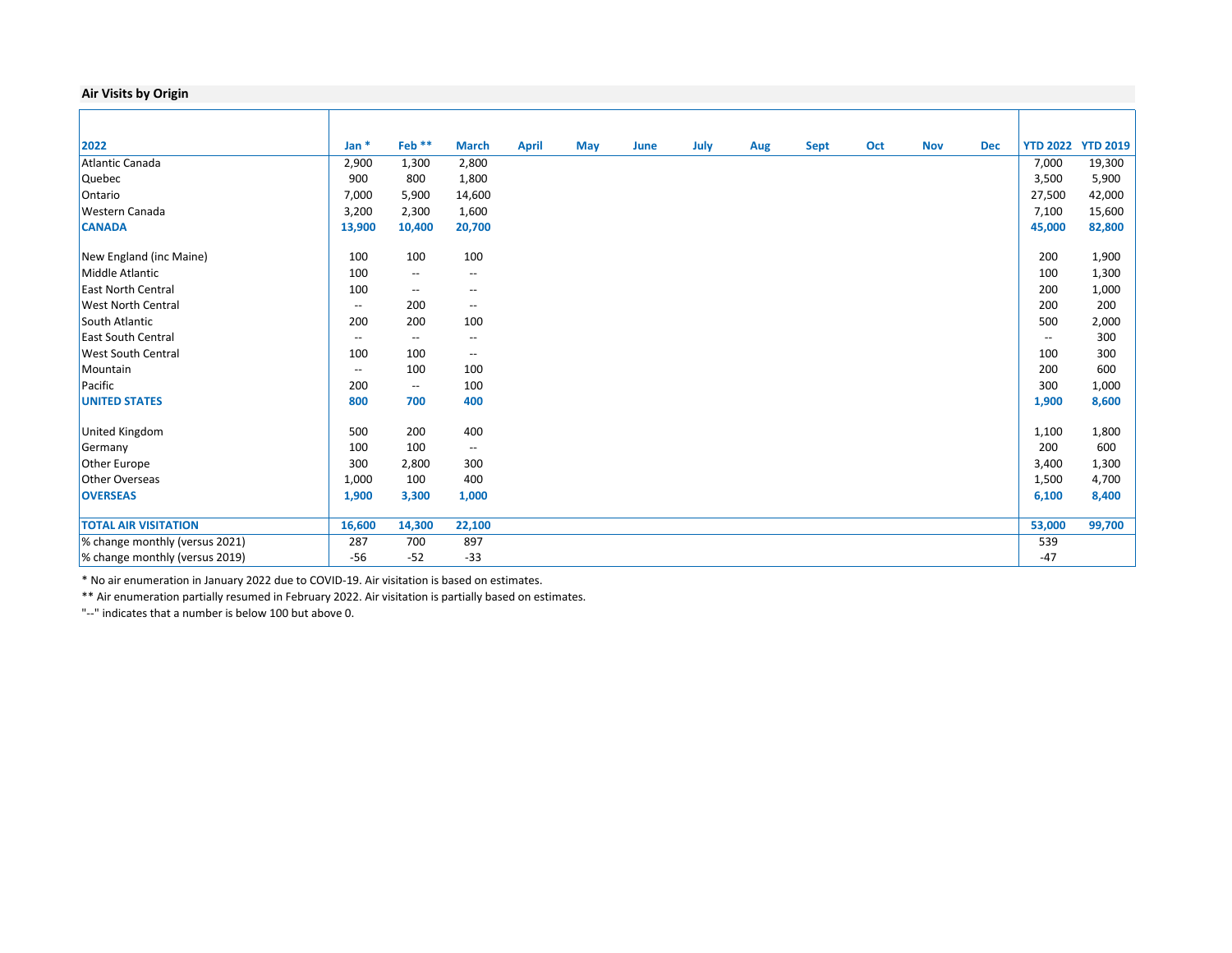## **Air Visits by Origin**

| 2022                           | Jan $*$                  | Feb <sup>**</sup>        | <b>March</b>                                        | <b>April</b> | May | June | July | Aug | Sept | Oct | <b>Nov</b> | <b>Dec</b> |                          | <b>YTD 2022 YTD 2019</b> |
|--------------------------------|--------------------------|--------------------------|-----------------------------------------------------|--------------|-----|------|------|-----|------|-----|------------|------------|--------------------------|--------------------------|
| Atlantic Canada                | 2,900                    | 1,300                    | 2,800                                               |              |     |      |      |     |      |     |            |            | 7,000                    | 19,300                   |
| <b>Quebec</b>                  | 900                      | 800                      | 1,800                                               |              |     |      |      |     |      |     |            |            | 3,500                    | 5,900                    |
| Ontario                        | 7,000                    | 5,900                    | 14,600                                              |              |     |      |      |     |      |     |            |            | 27,500                   | 42,000                   |
| <b>Western Canada</b>          | 3,200                    | 2,300                    | 1,600                                               |              |     |      |      |     |      |     |            |            | 7,100                    | 15,600                   |
| <b>CANADA</b>                  | 13,900                   | 10,400                   | 20,700                                              |              |     |      |      |     |      |     |            |            | 45,000                   | 82,800                   |
| New England (inc Maine)        | 100                      | 100                      | 100                                                 |              |     |      |      |     |      |     |            |            | 200                      | 1,900                    |
| Middle Atlantic                | 100                      | $\overline{\phantom{a}}$ | $\overline{\phantom{m}}$                            |              |     |      |      |     |      |     |            |            | 100                      | 1,300                    |
| <b>East North Central</b>      | 100                      | $\overline{\phantom{a}}$ | $\hspace{0.05cm} -\hspace{0.05cm} -\hspace{0.05cm}$ |              |     |      |      |     |      |     |            |            | 200                      | 1,000                    |
| <b>West North Central</b>      | $\overline{\phantom{a}}$ | 200                      | $\overline{\phantom{a}}$                            |              |     |      |      |     |      |     |            |            | 200                      | 200                      |
| South Atlantic                 | 200                      | 200                      | 100                                                 |              |     |      |      |     |      |     |            |            | 500                      | 2,000                    |
| <b>East South Central</b>      | $\overline{\phantom{a}}$ | $\overline{\phantom{a}}$ | $\overline{\phantom{a}}$                            |              |     |      |      |     |      |     |            |            | $\overline{\phantom{a}}$ | 300                      |
| <b>West South Central</b>      | 100                      | 100                      | $\overline{\phantom{a}}$                            |              |     |      |      |     |      |     |            |            | 100                      | 300                      |
| Mountain                       | $\overline{\phantom{a}}$ | 100                      | 100                                                 |              |     |      |      |     |      |     |            |            | 200                      | 600                      |
| Pacific                        | 200                      | $\overline{\phantom{a}}$ | 100                                                 |              |     |      |      |     |      |     |            |            | 300                      | 1,000                    |
| <b>UNITED STATES</b>           | 800                      | 700                      | 400                                                 |              |     |      |      |     |      |     |            |            | 1,900                    | 8,600                    |
| United Kingdom                 | 500                      | 200                      | 400                                                 |              |     |      |      |     |      |     |            |            | 1,100                    | 1,800                    |
| Germany                        | 100                      | 100                      | $\overline{\phantom{a}}$                            |              |     |      |      |     |      |     |            |            | 200                      | 600                      |
| Other Europe                   | 300                      | 2,800                    | 300                                                 |              |     |      |      |     |      |     |            |            | 3,400                    | 1,300                    |
| <b>Other Overseas</b>          | 1,000                    | 100                      | 400                                                 |              |     |      |      |     |      |     |            |            | 1,500                    | 4,700                    |
| <b>OVERSEAS</b>                | 1,900                    | 3,300                    | 1,000                                               |              |     |      |      |     |      |     |            |            | 6,100                    | 8,400                    |
|                                |                          |                          |                                                     |              |     |      |      |     |      |     |            |            |                          |                          |
| <b>TOTAL AIR VISITATION</b>    | 16,600                   | 14,300                   | 22,100                                              |              |     |      |      |     |      |     |            |            | 53,000                   | 99,700                   |
| % change monthly (versus 2021) | 287                      | 700                      | 897                                                 |              |     |      |      |     |      |     |            |            | 539                      |                          |
| % change monthly (versus 2019) | $-56$                    | $-52$                    | $-33$                                               |              |     |      |      |     |      |     |            |            | $-47$                    |                          |

\* No air enumeration in January 2022 due to COVID-19. Air visitation is based on estimates.

\*\* Air enumeration partially resumed in February 2022. Air visitation is partially based on estimates.

"--" indicates that a number is below 100 but above 0.